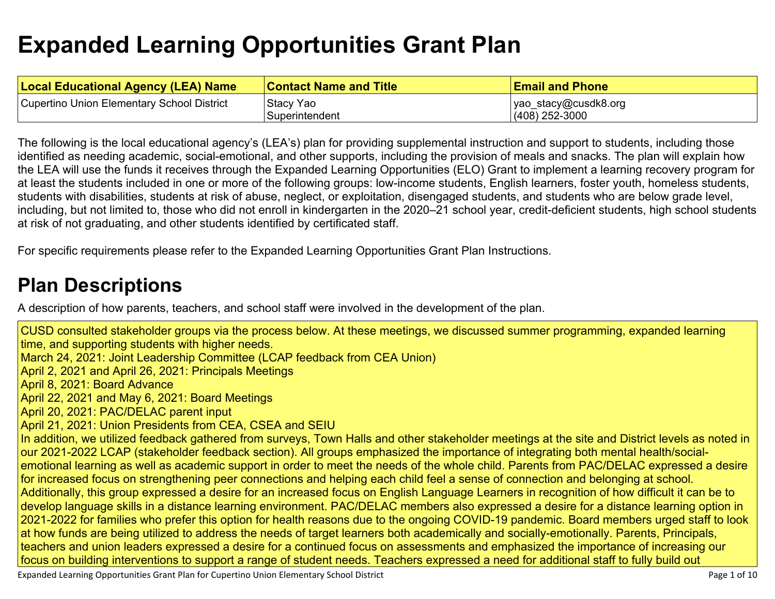# **Expanded Learning [Opportunities](#page-6-0) Grant Plan**

| <b>Local Educational Agency (LEA) Name</b> | <b>Contact Name and Title</b> | <b>Email and Phone</b> |
|--------------------------------------------|-------------------------------|------------------------|
| Cupertino Union Elementary School District | Stacy Yao                     | yao_stacy@cusdk8.org   |
|                                            | Superintendent                | $(408)$ 252-3000       |

The following is the local educational agency's (LEA's) plan for providing supplemental instruction and support to students, including those identified as needing academic, social-emotional, and other supports, including the provision of meals and snacks. The plan will explain how the LEA will use the funds it receives through the Expanded Learning Opportunities (ELO) Grant to implement a learning recovery program for at least the students included in one or more of the following groups: low-income students, English learners, foster youth, homeless students, students with disabilities, students at risk of abuse, neglect, or exploitation, disengaged students, and students who are below grade level, including, but not limited to, those who did not enroll in kindergarten in the 2020–21 school year, credit-deficient students, high school students at risk of not graduating, and other students identified by certificated staff.

For specific requirements please refer to the Expanded Learning Opportunities Grant Plan Instructions.

### **Plan [Descriptions](#page-8-0)**

A description of how parents, teachers, and school staff were involved in the [development](#page-8-1) of the plan.

CUSD consulted stakeholder groups via the process below. At these meetings, we discussed summer programming, expanded learning time, and supporting students with higher needs. March 24, 2021: Joint Leadership Committee (LCAP feedback from CEA Union) April 2, 2021 and April 26, 2021: Principals Meetings April 8, 2021: Board Advance April 22, 2021 and May 6, 2021: Board Meetings April 20, 2021: PAC/DELAC parent input April 21, 2021: Union Presidents from CEA, CSEA and SEIU In addition, we utilized feedback gathered from surveys, Town Halls and other stakeholder meetings at the site and District levels as noted in our 2021-2022 LCAP (stakeholder feedback section). All groups emphasized the importance of integrating both mental health/socialemotional learning as well as academic support in order to meet the needs of the whole child. Parents from PAC/DELAC expressed a desire for increased focus on strengthening peer connections and helping each child feel a sense of connection and belonging at school. Additionally, this group expressed a desire for an increased focus on English Language Learners in recognition of how difficult it can be to develop language skills in a distance learning environment. PAC/DELAC members also expressed a desire for a distance learning option in 2021-2022 for families who prefer this option for health reasons due to the ongoing COVID-19 pandemic. Board members urged staff to look at how funds are being utilized to address the needs of target learners both academically and socially-emotionally. Parents, Principals, teachers and union leaders expressed a desire for a continued focus on assessments and emphasized the importance of increasing our focus on building interventions to support a range of student needs. Teachers expressed a need for additional staff to fully build out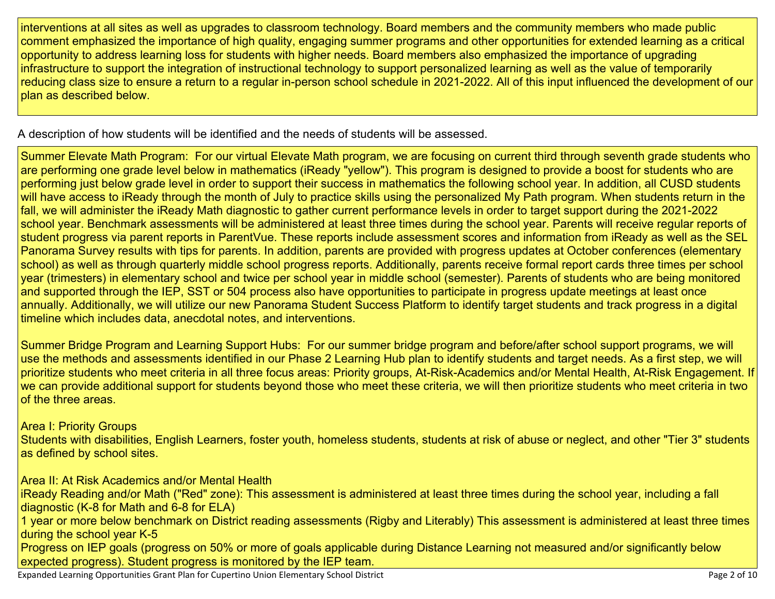interventions at all sites as well as upgrades to classroom technology. Board members and the community members who made public comment emphasized the importance of high quality, engaging summer programs and other opportunities for extended learning as a critical opportunity to address learning loss for students with higher needs. Board members also emphasized the importance of upgrading infrastructure to support the integration of instructional technology to support personalized learning as well as the value of temporarily reducing class size to ensure a return to a regular in-person school schedule in 2021-2022. All of this input influenced the development of our plan as described below.

A [description](#page-8-2) of how students will be identified and the needs of students will be assessed[.](#page-8-2)

Summer Elevate Math Program: For our virtual Elevate Math program, we are focusing on current third through seventh grade students who are performing one grade level below in mathematics (iReady "yellow"). This program is designed to provide a boost for students who are performing just below grade level in order to support their success in mathematics the following school year. In addition, all CUSD students will have access to iReady through the month of July to practice skills using the personalized My Path program. When students return in the fall, we will administer the iReady Math diagnostic to gather current performance levels in order to target support during the 2021-2022 school year. Benchmark assessments will be administered at least three times during the school year. Parents will receive regular reports of student progress via parent reports in ParentVue. These reports include assessment scores and information from iReady as well as the SEL Panorama Survey results with tips for parents. In addition, parents are provided with progress updates at October conferences (elementary school) as well as through quarterly middle school progress reports. Additionally, parents receive formal report cards three times per school year (trimesters) in elementary school and twice per school year in middle school (semester). Parents of students who are being monitored and supported through the IEP, SST or 504 process also have opportunities to participate in progress update meetings at least once annually. Additionally, we will utilize our new Panorama Student Success Platform to identify target students and track progress in a digital timeline which includes data, anecdotal notes, and interventions.

Summer Bridge Program and Learning Support Hubs: For our summer bridge program and before/after school support programs, we will use the methods and assessments identified in our Phase 2 Learning Hub plan to identify students and target needs. As a first step, we will prioritize students who meet criteria in all three focus areas: Priority groups, At-Risk-Academics and/or Mental Health, At-Risk Engagement. If we can provide additional support for students beyond those who meet these criteria, we will then prioritize students who meet criteria in two of the three areas.

Area I: Priority Groups

Students with disabilities, English Learners, foster youth, homeless students, students at risk of abuse or neglect, and other "Tier 3" students as defined by school sites.

Area II: At Risk Academics and/or Mental Health

iReady Reading and/or Math ("Red" zone): This assessment is administered at least three times during the school year, including a fall diagnostic (K-8 for Math and 6-8 for ELA)

1 year or more below benchmark on District reading assessments (Rigby and Literably) This assessment is administered at least three times during the school year K-5

Progress on IEP goals (progress on 50% or more of goals applicable during Distance Learning not measured and/or significantly below expected progress). Student progress is monitored by the IEP team.

Expanded Learning Opportunities Grant Plan for Cupertino Union Elementary School District **Page 1 and Containing** Page 2 of 10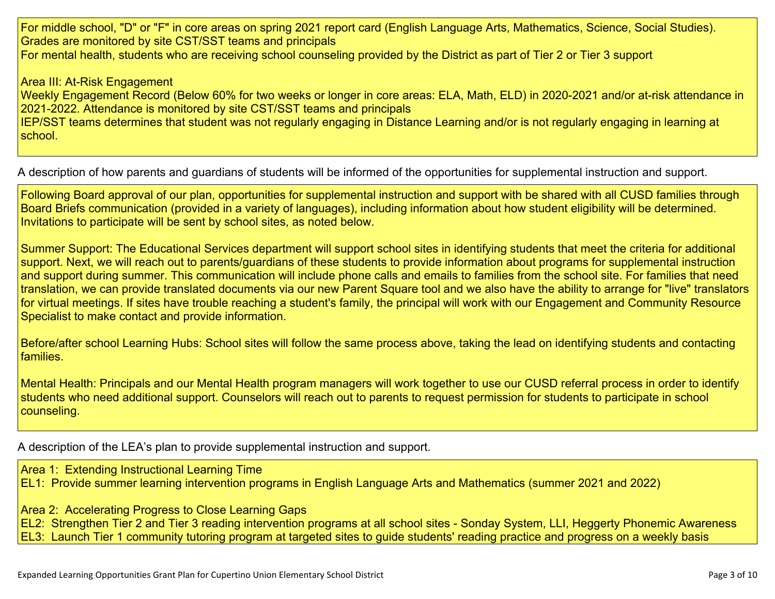For middle school, "D" or "F" in core areas on spring 2021 report card (English Language Arts, Mathematics, Science, Social Studies). Grades are monitored by site CST/SST teams and principals For mental health, students who are receiving school counseling provided by the District as part of Tier 2 or Tier 3 support

Area III: At-Risk Engagement

Weekly Engagement Record (Below 60% for two weeks or longer in core areas: ELA, Math, ELD) in 2020-2021 and/or at-risk attendance in 2021-2022. Attendance is monitored by site CST/SST teams and principals

IEP/SST teams determines that student was not regularly engaging in Distance Learning and/or is not regularly engaging in learning at school.

A description of how parents and guardians of students will be informed of the opportunities for [supplemental](#page-8-3) instruction and support[.](#page-8-3)

Following Board approval of our plan, opportunities for supplemental instruction and support with be shared with all CUSD families through Board Briefs communication (provided in a variety of languages), including information about how student eligibility will be determined. Invitations to participate will be sent by school sites, as noted below.

Summer Support: The Educational Services department will support school sites in identifying students that meet the criteria for additional support. Next, we will reach out to parents/guardians of these students to provide information about programs for supplemental instruction and support during summer. This communication will include phone calls and emails to families from the school site. For families that need translation, we can provide translated documents via our new Parent Square tool and we also have the ability to arrange for "live" translators for virtual meetings. If sites have trouble reaching a student's family, the principal will work with our Engagement and Community Resource Specialist to make contact and provide information.

Before/after school Learning Hubs: School sites will follow the same process above, taking the lead on identifying students and contacting families.

Mental Health: Principals and our Mental Health program managers will work together to use our CUSD referral process in order to identify students who need additional support. Counselors will reach out to parents to request permission for students to participate in school counseling.

A description of the LEA's plan to provide [supplemental](#page-8-4) instruction and support[.](#page-8-4)

Area 1: Extending Instructional Learning Time EL1: Provide summer learning intervention programs in English Language Arts and Mathematics (summer 2021 and 2022)

Area 2: Accelerating Progress to Close Learning Gaps

EL2: Strengthen Tier 2 and Tier 3 reading intervention programs at all school sites - Sonday System, LLI, Heggerty Phonemic Awareness EL3: Launch Tier 1 community tutoring program at targeted sites to guide students' reading practice and progress on a weekly basis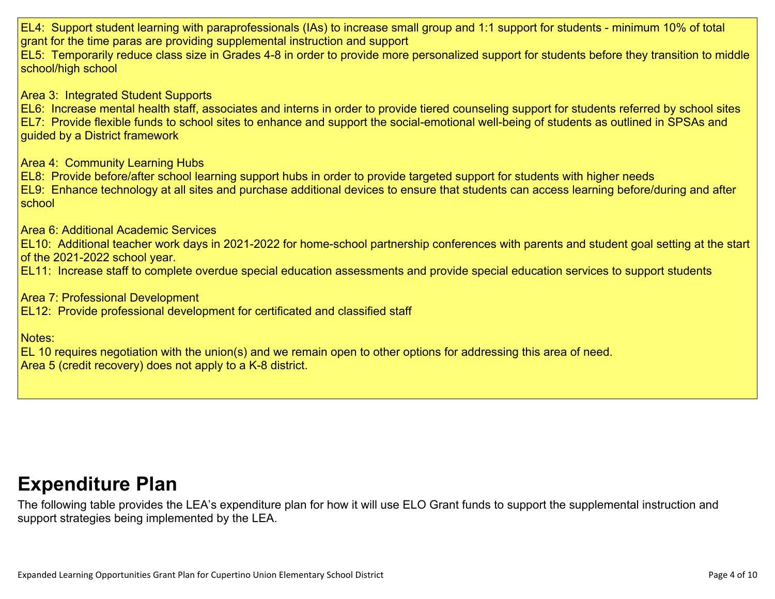EL4: Support student learning with paraprofessionals (IAs) to increase small group and 1:1 support for students - minimum 10% of total grant for the time paras are providing supplemental instruction and support EL5: Temporarily reduce class size in Grades 4-8 in order to provide more personalized support for students before they transition to middle school/high school Area 3: Integrated Student Supports EL6: Increase mental health staff, associates and interns in order to provide tiered counseling support for students referred by school sites EL7: Provide flexible funds to school sites to enhance and support the social-emotional well-being of students as outlined in SPSAs and guided by a District framework Area 4: Community Learning Hubs EL8: Provide before/after school learning support hubs in order to provide targeted support for students with higher needs EL9: Enhance technology at all sites and purchase additional devices to ensure that students can access learning before/during and after school Area 6: Additional Academic Services EL10: Additional teacher work days in 2021-2022 for home-school partnership conferences with parents and student goal setting at the start of the 2021-2022 school year. EL11: Increase staff to complete overdue special education assessments and provide special education services to support students Area 7: Professional Development EL12: Provide professional development for certificated and classified staff Notes: EL 10 requires negotiation with the union(s) and we remain open to other options for addressing this area of need. Area 5 (credit recovery) does not apply to a K-8 district.

### **[Expenditure](#page-9-0) Pla[n](#page-9-0)**

The following table provides the LEA's expenditure plan for how it will use ELO Grant funds to support the supplemental instruction and support strategies being implemented by the LEA.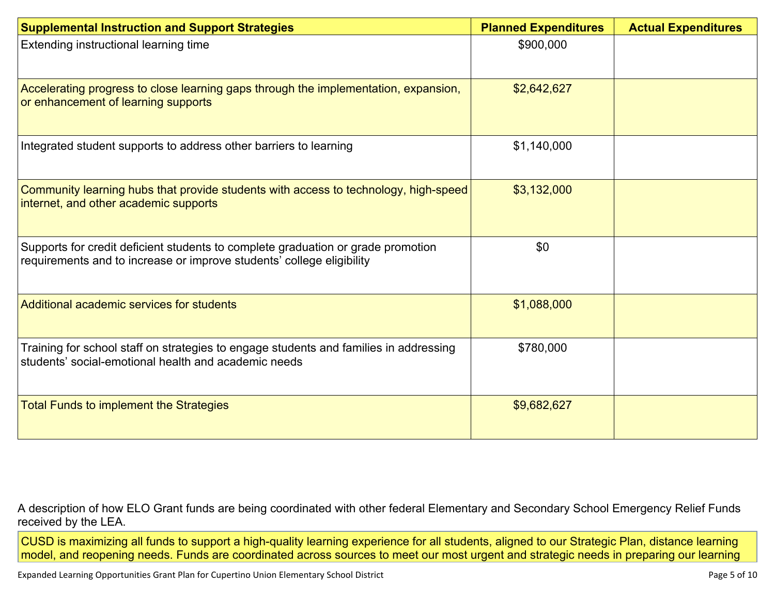| <b>Supplemental Instruction and Support Strategies</b>                                                                                                    | <b>Planned Expenditures</b> | <b>Actual Expenditures</b> |
|-----------------------------------------------------------------------------------------------------------------------------------------------------------|-----------------------------|----------------------------|
| Extending instructional learning time                                                                                                                     | \$900,000                   |                            |
| Accelerating progress to close learning gaps through the implementation, expansion,<br>or enhancement of learning supports                                | \$2,642,627                 |                            |
| Integrated student supports to address other barriers to learning                                                                                         | \$1,140,000                 |                            |
| Community learning hubs that provide students with access to technology, high-speed<br>internet, and other academic supports                              | \$3,132,000                 |                            |
| Supports for credit deficient students to complete graduation or grade promotion<br>requirements and to increase or improve students' college eligibility | \$0                         |                            |
| Additional academic services for students                                                                                                                 | \$1,088,000                 |                            |
| Training for school staff on strategies to engage students and families in addressing<br>students' social-emotional health and academic needs             | \$780,000                   |                            |
| <b>Total Funds to implement the Strategies</b>                                                                                                            | \$9,682,627                 |                            |

A description of how ELO Grant funds are being [coordinated](#page-9-1) with other federal Elementary and Secondary School Emergency Relief Funds [received](#page-9-1) by the LEA.

CUSD is maximizing all funds to support a high-quality learning experience for all students, aligned to our Strategic Plan, distance learning model, and reopening needs. Funds are coordinated across sources to meet our most urgent and strategic needs in preparing our learning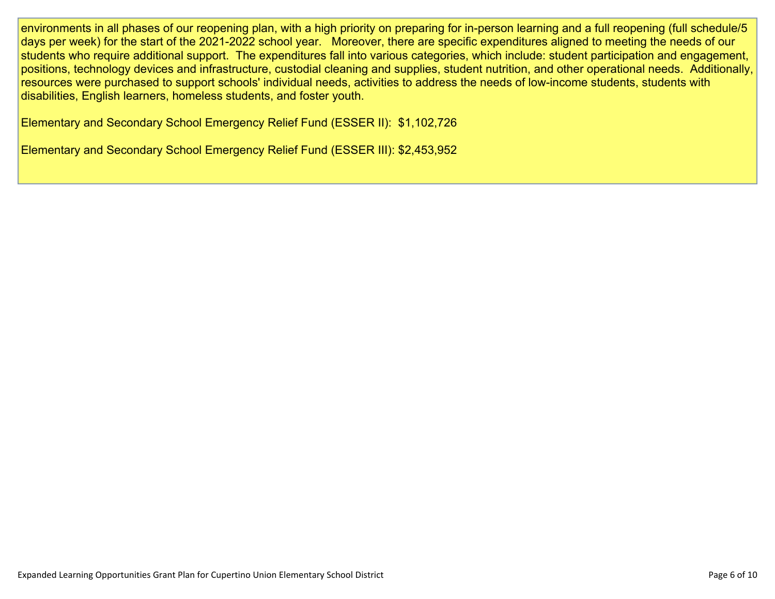environments in all phases of our reopening plan, with a high priority on preparing for in-person learning and a full reopening (full schedule/5 days per week) for the start of the 2021-2022 school year. Moreover, there are specific expenditures aligned to meeting the needs of our students who require additional support. The expenditures fall into various categories, which include: student participation and engagement, positions, technology devices and infrastructure, custodial cleaning and supplies, student nutrition, and other operational needs. Additionally, resources were purchased to support schools' individual needs, activities to address the needs of low-income students, students with disabilities, English learners, homeless students, and foster youth.

Elementary and Secondary School Emergency Relief Fund (ESSER II): \$1,102,726

Elementary and Secondary School Emergency Relief Fund (ESSER III): \$2,453,952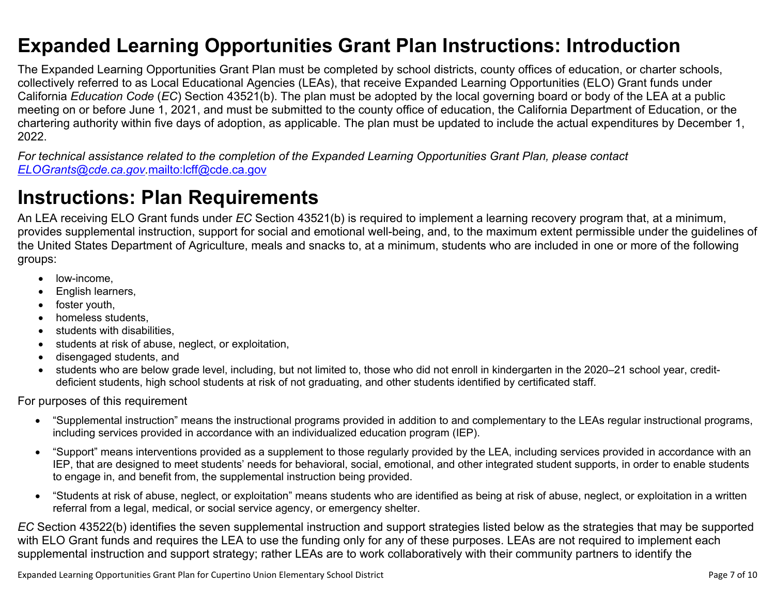### <span id="page-6-0"></span>**Expanded Learning Opportunities Grant Plan Instructions: Introduction**

The Expanded Learning Opportunities Grant Plan must be completed by school districts, county offices of education, or charter schools, collectively referred to as Local Educational Agencies (LEAs), that receive Expanded Learning Opportunities (ELO) Grant funds under California *Education Code* (*EC*) Section 43521(b). The plan must be adopted by the local governing board or body of the LEA at a public meeting on or before June 1, 2021, and must be submitted to the county office of education, the California Department of Education, or the chartering authority within five days of adoption, as applicable. The plan must be updated to include the actual expenditures by December 1, 2022.

For technical assistance related to the completion of the Expanded Learning Opportunities Grant Plan, please contact *[ELOGrants@cde.ca.gov](mailto:ELOGrants@cde.ca.gov).*<mailto:lcff@cde.ca.gov>

### **Instructions: Plan Requirements**

An LEA receiving ELO Grant funds under *EC* Section 43521(b) is required to implement a learning recovery program that, at a minimum, provides supplemental instruction, support for social and emotional well-being, and, to the maximum extent permissible under the guidelines of the United States Department of Agriculture, meals and snacks to, at a minimum, students who are included in one or more of the following groups:

- low-income.
- English learners,
- foster youth,
- homeless students,
- students with disabilities.
- students at risk of abuse, neglect, or exploitation,
- disengaged students, and
- students who are below grade level, including, but not limited to, those who did not enroll in kindergarten in the 2020–21 school year, creditdeficient students, high school students at risk of not graduating, and other students identified by certificated staff.

For purposes of this requirement

- "Supplemental instruction" means the instructional programs provided in addition to and complementary to the LEAs regular instructional programs, including services provided in accordance with an individualized education program (IEP).
- "Support" means interventions provided as a supplement to those regularly provided by the LEA, including services provided in accordance with an IEP, that are designed to meet students' needs for behavioral, social, emotional, and other integrated student supports, in order to enable students to engage in, and benefit from, the supplemental instruction being provided.
- "Students at risk of abuse, neglect, or exploitation" means students who are identified as being at risk of abuse, neglect, or exploitation in a written referral from a legal, medical, or social service agency, or emergency shelter.

*EC* Section 43522(b) identifies the seven supplemental instruction and support strategies listed below as the strategies that may be supported with ELO Grant funds and requires the LEA to use the funding only for any of these purposes. LEAs are not required to implement each supplemental instruction and support strategy; rather LEAs are to work collaboratively with their community partners to identify the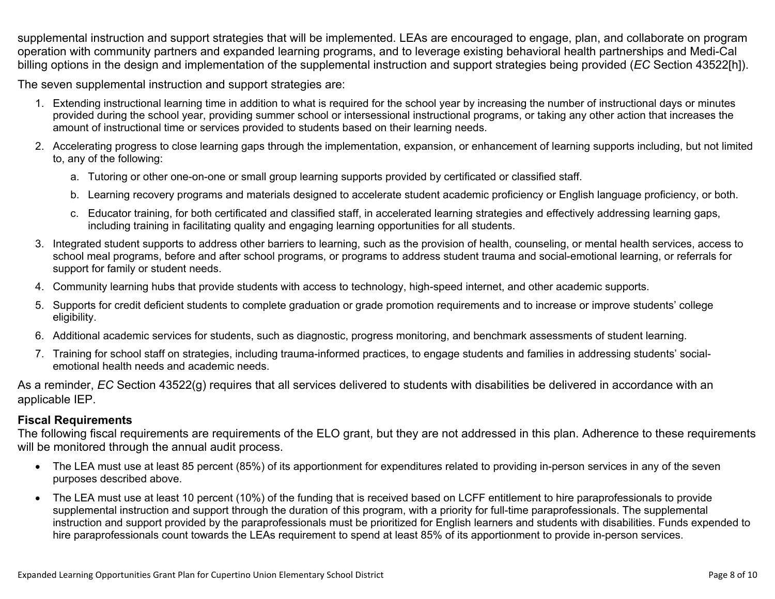supplemental instruction and support strategies that will be implemented. LEAs are encouraged to engage, plan, and collaborate on program operation with community partners and expanded learning programs, and to leverage existing behavioral health partnerships and Medi-Cal billing options in the design and implementation of the supplemental instruction and support strategies being provided (*EC* Section 43522[h]).

The seven supplemental instruction and support strategies are:

- 1. Extending instructional learning time in addition to what is required for the school year by increasing the number of instructional days or minutes provided during the school year, providing summer school or intersessional instructional programs, or taking any other action that increases the amount of instructional time or services provided to students based on their learning needs.
- 2. Accelerating progress to close learning gaps through the implementation, expansion, or enhancement of learning supports including, but not limited to, any of the following:
	- a. Tutoring or other one-on-one or small group learning supports provided by certificated or classified staff.
	- b. Learning recovery programs and materials designed to accelerate student academic proficiency or English language proficiency, or both.
	- c. Educator training, for both certificated and classified staff, in accelerated learning strategies and effectively addressing learning gaps, including training in facilitating quality and engaging learning opportunities for all students.
- 3. Integrated student supports to address other barriers to learning, such as the provision of health, counseling, or mental health services, access to school meal programs, before and after school programs, or programs to address student trauma and social-emotional learning, or referrals for support for family or student needs.
- 4. Community learning hubs that provide students with access to technology, high-speed internet, and other academic supports.
- 5. Supports for credit deficient students to complete graduation or grade promotion requirements and to increase or improve students' college eligibility.
- 6. Additional academic services for students, such as diagnostic, progress monitoring, and benchmark assessments of student learning.
- 7. Training for school staff on strategies, including trauma-informed practices, to engage students and families in addressing students' socialemotional health needs and academic needs.

As a reminder, *EC* Section 43522(g) requires that all services delivered to students with disabilities be delivered in accordance with an applicable IEP.

#### **Fiscal Requirements**

The following fiscal requirements are requirements of the ELO grant, but they are not addressed in this plan. Adherence to these requirements will be monitored through the annual audit process.

- The LEA must use at least 85 percent (85%) of its apportionment for expenditures related to providing in-person services in any of the seven purposes described above.
- The LEA must use at least 10 percent (10%) of the funding that is received based on LCFF entitlement to hire paraprofessionals to provide supplemental instruction and support through the duration of this program, with a priority for full-time paraprofessionals. The supplemental instruction and support provided by the paraprofessionals must be prioritized for English learners and students with disabilities. Funds expended to hire paraprofessionals count towards the LEAs requirement to spend at least 85% of its apportionment to provide in-person services.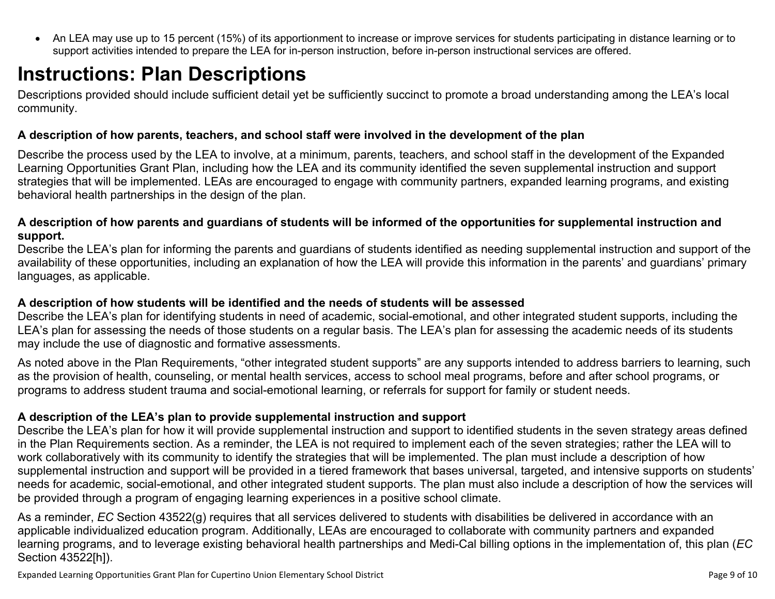<span id="page-8-0"></span> An LEA may use up to 15 percent (15%) of its apportionment to increase or improve services for students participating in distance learning or to support activities intended to prepare the LEA for in-person instruction, before in-person instructional services are offered.

## **Instructions: Plan Descriptions**

Descriptions provided should include sufficient detail yet be sufficiently succinct to promote a broad understanding among the LEA's local community.

#### <span id="page-8-1"></span>**A description of how parents, teachers, and school staff were involved in the development of the plan**

Describe the process used by the LEA to involve, at a minimum, parents, teachers, and school staff in the development of the Expanded Learning Opportunities Grant Plan, including how the LEA and its community identified the seven supplemental instruction and support strategies that will be implemented. LEAs are encouraged to engage with community partners, expanded learning programs, and existing behavioral health partnerships in the design of the plan.

#### <span id="page-8-2"></span>A description of how parents and guardians of students will be informed of the opportunities for supplemental instruction and **support.**

Describe the LEA's plan for informing the parents and guardians of students identified as needing supplemental instruction and support of the availability of these opportunities, including an explanation of how the LEA will provide this information in the parents' and guardians' primary languages, as applicable.

#### <span id="page-8-3"></span>**A description of how students will be identified and the needs of students will be assessed**

Describe the LEA's plan for identifying students in need of academic, social-emotional, and other integrated student supports, including the LEA's plan for assessing the needs of those students on a regular basis. The LEA's plan for assessing the academic needs of its students may include the use of diagnostic and formative assessments.

As noted above in the Plan Requirements, "other integrated student supports" are any supports intended to address barriers to learning, such as the provision of health, counseling, or mental health services, access to school meal programs, before and after school programs, or programs to address student trauma and social-emotional learning, or referrals for support for family or student needs.

#### <span id="page-8-4"></span>**A description of the LEA's plan to provide supplemental instruction and support**

Describe the LEA's plan for how it will provide supplemental instruction and support to identified students in the seven strategy areas defined in the Plan Requirements section. As a reminder, the LEA is not required to implement each of the seven strategies; rather the LEA will to work collaboratively with its community to identify the strategies that will be implemented. The plan must include a description of how supplemental instruction and support will be provided in a tiered framework that bases universal, targeted, and intensive supports on students' needs for academic, social-emotional, and other integrated student supports. The plan must also include a description of how the services will be provided through a program of engaging learning experiences in a positive school climate.

As a reminder, *EC* Section 43522(g) requires that all services delivered to students with disabilities be delivered in accordance with an applicable individualized education program. Additionally, LEAs are encouraged to collaborate with community partners and expanded learning programs, and to leverage existing behavioral health partnerships and Medi-Cal billing options in the implementation of, this plan (*EC* Section 43522[h]).